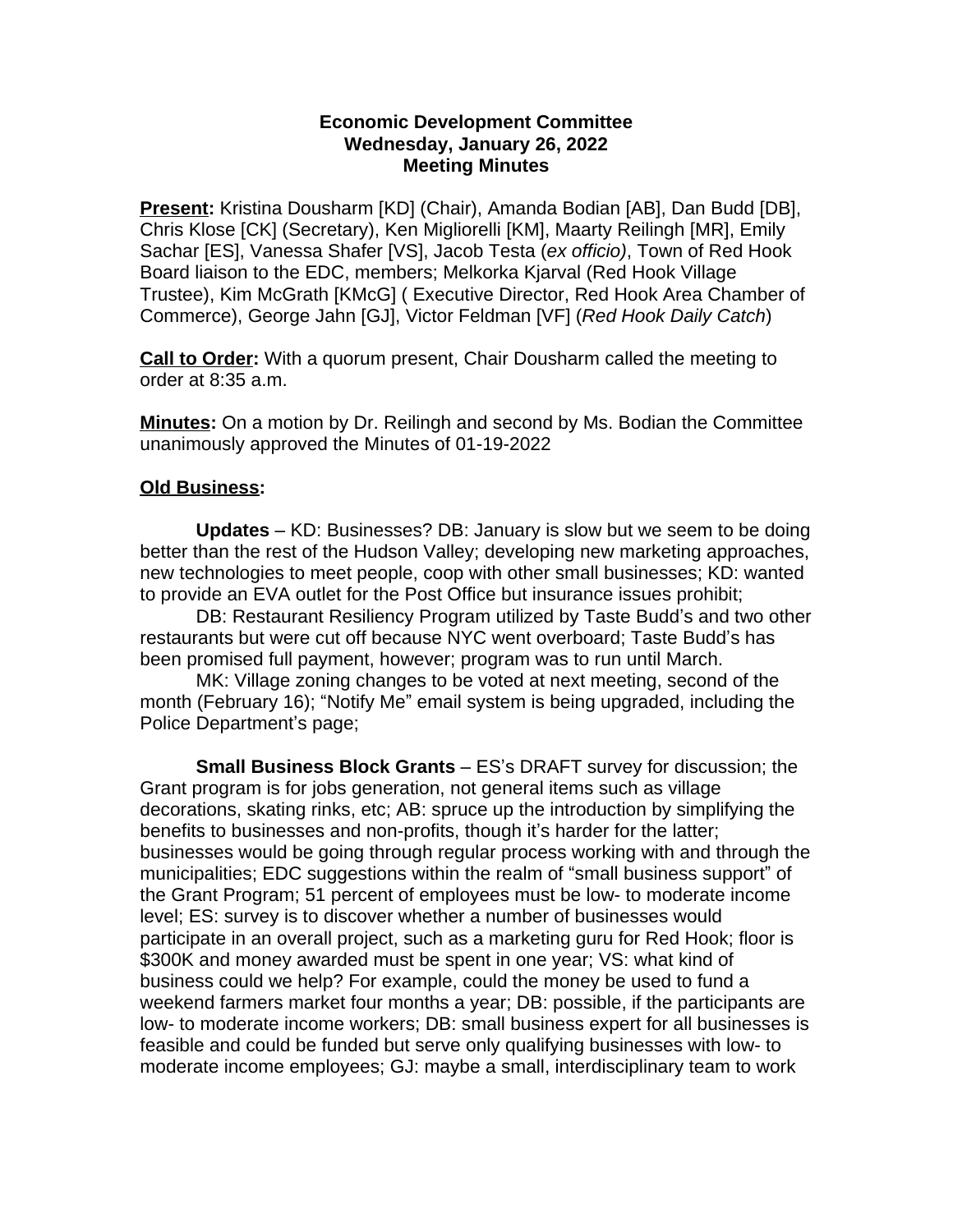## **Economic Development Committee Wednesday, January 26, 2022 Meeting Minutes**

**Present:** Kristina Dousharm [KD] (Chair), Amanda Bodian [AB], Dan Budd [DB], Chris Klose [CK] (Secretary), Ken Migliorelli [KM], Maarty Reilingh [MR], Emily Sachar [ES], Vanessa Shafer [VS], Jacob Testa (*ex officio)*, Town of Red Hook Board liaison to the EDC, members; Melkorka Kjarval (Red Hook Village Trustee), Kim McGrath [KMcG] ( Executive Director, Red Hook Area Chamber of Commerce), George Jahn [GJ], Victor Feldman [VF] (*Red Hook Daily Catch*)

**Call to Order:** With a quorum present, Chair Dousharm called the meeting to order at 8:35 a.m.

**Minutes:** On a motion by Dr. Reilingh and second by Ms. Bodian the Committee unanimously approved the Minutes of 01-19-2022

## **Old Business:**

**Updates** – KD: Businesses? DB: January is slow but we seem to be doing better than the rest of the Hudson Valley; developing new marketing approaches, new technologies to meet people, coop with other small businesses; KD: wanted to provide an EVA outlet for the Post Office but insurance issues prohibit;

DB: Restaurant Resiliency Program utilized by Taste Budd's and two other restaurants but were cut off because NYC went overboard; Taste Budd's has been promised full payment, however; program was to run until March.

MK: Village zoning changes to be voted at next meeting, second of the month (February 16); "Notify Me" email system is being upgraded, including the Police Department's page;

**Small Business Block Grants** – ES's DRAFT survey for discussion; the Grant program is for jobs generation, not general items such as village decorations, skating rinks, etc; AB: spruce up the introduction by simplifying the benefits to businesses and non-profits, though it's harder for the latter; businesses would be going through regular process working with and through the municipalities; EDC suggestions within the realm of "small business support" of the Grant Program; 51 percent of employees must be low- to moderate income level; ES: survey is to discover whether a number of businesses would participate in an overall project, such as a marketing guru for Red Hook; floor is \$300K and money awarded must be spent in one year; VS: what kind of business could we help? For example, could the money be used to fund a weekend farmers market four months a year; DB: possible, if the participants are low- to moderate income workers; DB: small business expert for all businesses is feasible and could be funded but serve only qualifying businesses with low- to moderate income employees; GJ: maybe a small, interdisciplinary team to work